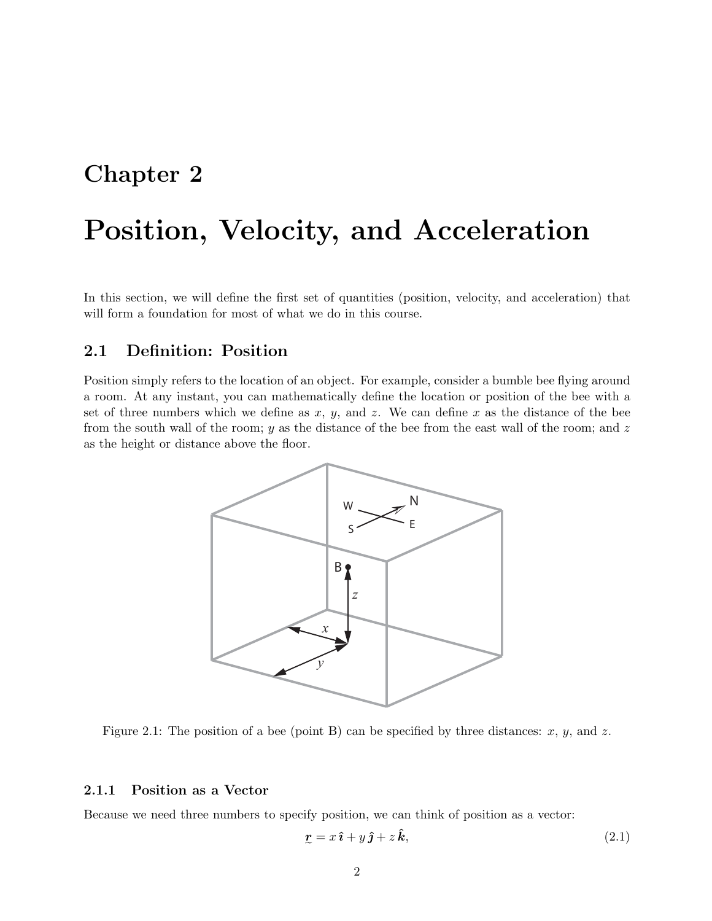## <span id="page-0-1"></span>**Chapter 2**

# **Position, Velocity, and Acceleration**

In this section, we will define the first set of quantities (position, velocity, and acceleration) that will form a foundation for most of what we do in this course.

## **2.1 Definition: Position**

Position simply refers to the location of an object. For example, consider a bumble bee flying around a room. At any instant, you can mathematically define the location or position of the bee with a set of three numbers which we define as  $x, y$ , and  $z$ . We can define x as the distance of the bee from the south wall of the room;  $y$  as the distance of the bee from the east wall of the room; and  $z$ as the height or distance above the floor.



Figure 2.1: The position of a bee (point B) can be specified by three distances:  $x, y$ , and  $z$ .

#### **2.1.1 Position as a Vector**

Because we need three numbers to specify position, we can think of position as a vector:

<span id="page-0-0"></span>
$$
\mathbf{r} = x\,\hat{\mathbf{i}} + y\,\hat{\mathbf{j}} + z\,\hat{\mathbf{k}},\tag{2.1}
$$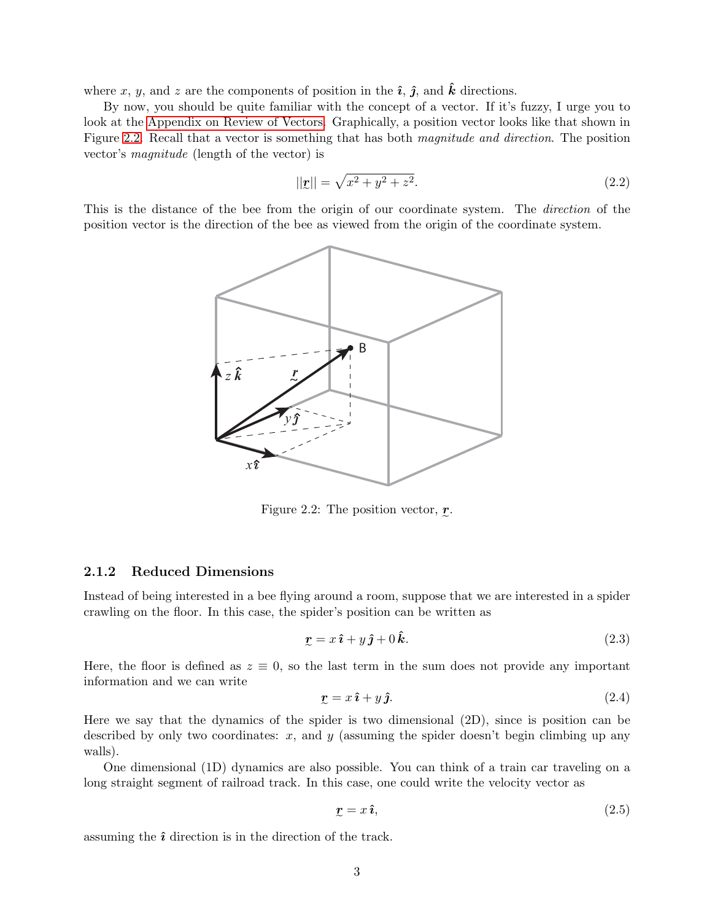where x, y, and z are the components of position in the  $\hat{i}$ ,  $\hat{j}$ , and  $\hat{k}$  directions.

By now, you should be quite familiar with the concept of a vector. If it's fuzzy, I urge you to look at the Appendix on Review of Vectors. Graphically, a position vector looks like that shown in Figure [2.2.](#page-1-0) Recall that a vector is something that has both *magnitude and direction*. The position vector's *magnitude* (length of the vector) is

$$
||\mathbf{r}|| = \sqrt{x^2 + y^2 + z^2}.
$$
\n(2.2)

-This is the distance of the bee from the origin of our coordinate system. The *direction* of the position vector is the direction of the bee as viewed from the origin of the coordinate system.



<span id="page-1-0"></span>Figure 2.2: The position vector,  $r$ .

#### **2.1.2 Reduced Dimensions**

Instead of being interested in a bee flying around a room, suppose that we are interested in a spider crawling on the floor. In this case, the spider's position can be written as

$$
\mathbf{r} = x\,\hat{\mathbf{i}} + y\,\hat{\mathbf{j}} + 0\,\hat{\mathbf{k}}.\tag{2.3}
$$

Here, the floor is defined as  $z \equiv 0$ , so the last term in the sum does not provide any important information and we can write

$$
\mathbf{r} = x\,\hat{\mathbf{i}} + y\,\hat{\mathbf{j}}.\tag{2.4}
$$

-Here we say that the dynamics of the spider is two dimensional (2D), since is position can be described by only two coordinates:  $x$ , and  $y$  (assuming the spider doesn't begin climbing up any walls).

One dimensional (1D) dynamics are also possible. You can think of a train car traveling on a long straight segment of railroad track. In this case, one could write the velocity vector as

$$
x = x \hat{\imath}, \tag{2.5}
$$

assuming the **ˆ***ı* direction is in the direction of the track.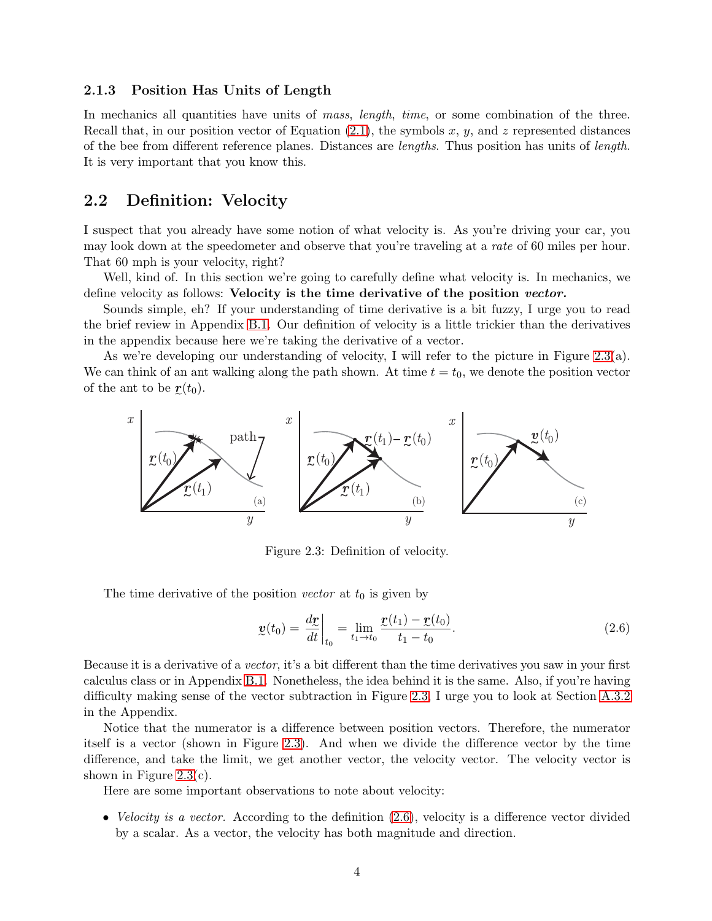#### <span id="page-2-2"></span>**2.1.3 Position Has Units of Length**

In mechanics all quantities have units of *mass*, *length*, *time*, or some combination of the three. Recall that, in our position vector of Equation [\(2.1\)](#page-0-0), the symbols x, y, and z represented distances of the bee from different reference planes. Distances are *lengths*. Thus position has units of *length*. It is very important that you know this.

## <span id="page-2-3"></span>**2.2 Definition: Velocity**

I suspect that you already have some notion of what velocity is. As you're driving your car, you may look down at the speedometer and observe that you're traveling at a *rate* of 60 miles per hour. That 60 mph is your velocity, right?

Well, kind of. In this section we're going to carefully define what velocity is. In mechanics, we define velocity as follows: **Velocity is the time derivative of the position** *vector.*

Sounds simple, eh? If your understanding of time derivative is a bit fuzzy, I urge you to read the brief review in Appendix B.1. Our definition of velocity is a little trickier than the derivatives in the appendix because here we're taking the derivative of a vector.

As we're developing our understanding of velocity, I will refer to the picture in Figure [2.3\(](#page-2-0)a). We can think of an ant walking along the path shown. At time  $t = t_0$ , we denote the position vector of the ant to be  $\mathbf{r}(t_0)$ .



<span id="page-2-0"></span>Figure 2.3: Definition of velocity.

The time derivative of the position *vector* at  $t_0$  is given by

<span id="page-2-1"></span>
$$
\underline{v}(t_0) = \frac{d\underline{r}}{dt}\bigg|_{t_0} = \lim_{t_1 \to t_0} \frac{\underline{r}(t_1) - \underline{r}(t_0)}{t_1 - t_0}.
$$
\n(2.6)

Because it is a derivative of a *vector*, it's a bit different than the time derivatives you saw in your first calculus class or in Appendix B.1. Nonetheless, the idea behind it is the same. Also, if you're having difficulty making sense of the vector subtraction in Figure [2.3,](#page-2-0) I urge you to look at Section A.3.2 in the Appendix.

Notice that the numerator is a difference between position vectors. Therefore, the numerator itself is a vector (shown in Figure [2.3\)](#page-2-0). And when we divide the difference vector by the time difference, and take the limit, we get another vector, the velocity vector. The velocity vector is shown in Figure [2.3\(](#page-2-0)c).

Here are some important observations to note about velocity:

• *Velocity is a vector.* According to the definition  $(2.6)$ , velocity is a difference vector divided by a scalar. As a vector, the velocity has both magnitude and direction.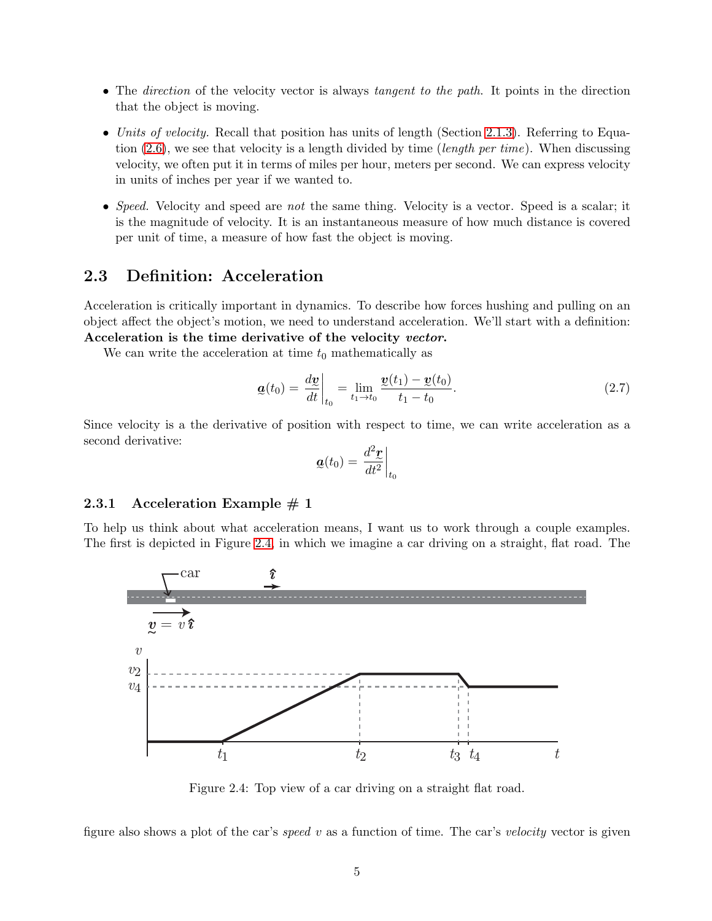- The *direction* of the velocity vector is always *tangent to the path*. It points in the direction that the object is moving.
- *Units of velocity.* Recall that position has units of length (Section [2.1.3\)](#page-2-2). Referring to Equation [\(2.6\)](#page-2-1), we see that velocity is a length divided by time (*length per time*). When discussing velocity, we often put it in terms of miles per hour, meters per second. We can express velocity in units of inches per year if we wanted to.
- *Speed.* Velocity and speed are *not* the same thing. Velocity is a vector. Speed is a scalar; it is the magnitude of velocity. It is an instantaneous measure of how much distance is covered per unit of time, a measure of how fast the object is moving.

## **2.3 Definition: Acceleration**

Acceleration is critically important in dynamics. To describe how forces hushing and pulling on an object affect the object's motion, we need to understand acceleration. We'll start with a definition: **Acceleration is the time derivative of the velocity** *vector***.**

We can write the acceleration at time  $t_0$  mathematically as

<span id="page-3-1"></span>
$$
\underline{\mathbf{a}}(t_0) = \frac{d\underline{\mathbf{v}}}{dt}\bigg|_{t_0} = \lim_{t_1 \to t_0} \frac{\underline{\mathbf{v}}(t_1) - \underline{\mathbf{v}}(t_0)}{t_1 - t_0}.
$$
\n(2.7)

Since velocity is a the derivative of position with respect to time, we can write acceleration as a second derivative:

$$
\mathbf{a}(t_0) = \left. \frac{d^2 \mathbf{r}}{dt^2} \right|_{t_0}
$$

#### <span id="page-3-2"></span>**2.3.1 Acceleration Example # 1**

To help us think about what acceleration means, I want us to work through a couple examples. The first is depicted in Figure [2.4,](#page-3-0) in which we imagine a car driving on a straight, flat road. The



<span id="page-3-0"></span>Figure 2.4: Top view of a car driving on a straight flat road.

figure also shows a plot of the car's *speed* v as a function of time. The car's *velocity* vector is given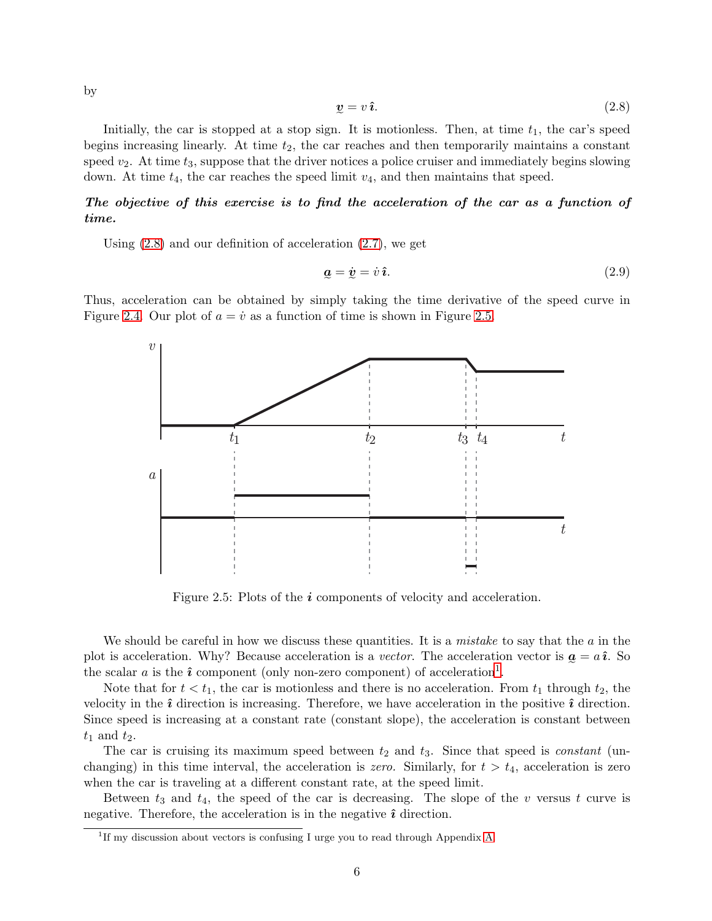by

<span id="page-4-0"></span>
$$
\mathbf{v} = v \,\hat{\mathbf{\imath}}.\tag{2.8}
$$

Initially, the car is stopped at a stop sign. It is motionless. Then, at time  $t_1$ , the car's speed begins increasing linearly. At time  $t_2$ , the car reaches and then temporarily maintains a constant speed  $v_2$ . At time  $t_3$ , suppose that the driver notices a police cruiser and immediately begins slowing down. At time  $t_4$ , the car reaches the speed limit  $v_4$ , and then maintains that speed.

### *The objective of this exercise is to find the acceleration of the car as a function of time.*

Using [\(2.8\)](#page-4-0) and our definition of acceleration [\(2.7\)](#page-3-1), we get

<span id="page-4-3"></span>
$$
\underline{\mathbf{a}} = \dot{\mathbf{v}} = \dot{v} \,\hat{\mathbf{\imath}}.\tag{2.9}
$$

--Thus, acceleration can be obtained by simply taking the time derivative of the speed curve in Figure [2.4.](#page-3-0) Our plot of  $a = \dot{v}$  as a function of time is shown in Figure [2.5.](#page-4-1)



<span id="page-4-1"></span>Figure 2.5: Plots of the *i* components of velocity and acceleration.

We should be careful in how we discuss these quantities. It is a *mistake* to say that the a in the plot is acceleration. Why? Because acceleration is a *vector*. The acceleration vector is  $\mathbf{a} = a\hat{\imath}$ . So the scalar a is the  $\hat{i}$  component (only non-zero component) of acceleration<sup>[1](#page-4-2)</sup>.

Note that for  $t < t_1$ , the car is motionless and there is no acceleration. From  $t_1$  through  $t_2$ , the velocity in the  $\hat{i}$  direction is increasing. Therefore, we have acceleration in the positive  $\hat{i}$  direction. Since speed is increasing at a constant rate (constant slope), the acceleration is constant between  $t_1$  and  $t_2$ .

The car is cruising its maximum speed between  $t_2$  and  $t_3$ . Since that speed is *constant* (unchanging) in this time interval, the acceleration is *zero.* Similarly, for  $t > t_4$ , acceleration is zero when the car is traveling at a different constant rate, at the speed limit.

Between  $t_3$  and  $t_4$ , the speed of the car is decreasing. The slope of the v versus t curve is negative. Therefore, the acceleration is in the negative  $\hat{\imath}$  direction.

<span id="page-4-2"></span><sup>&</sup>lt;sup>1</sup>If my discussion about vectors is confusing I urge you to read through Appendix A.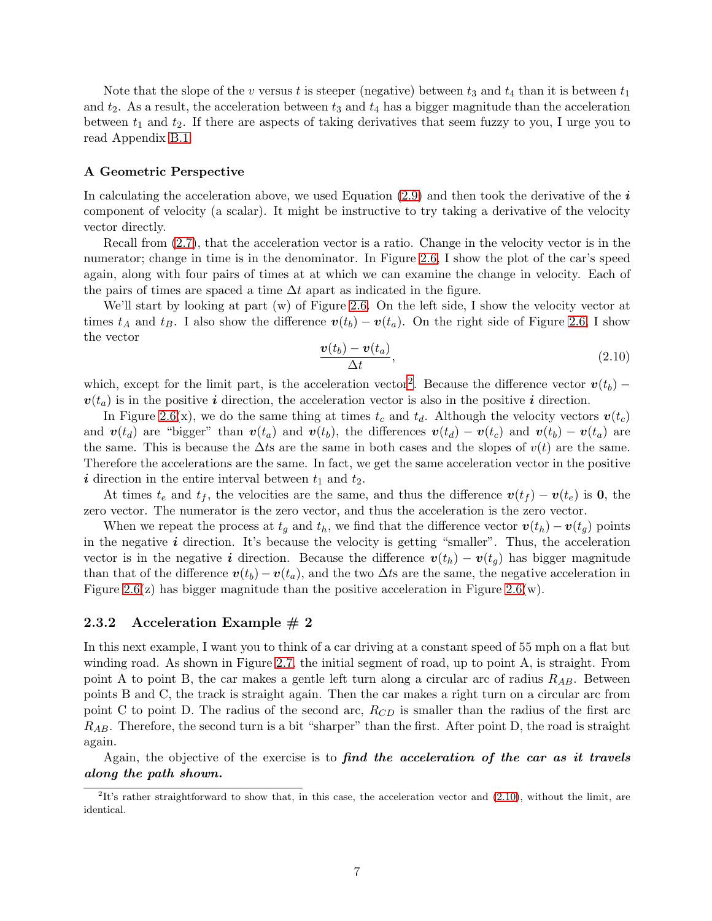Note that the slope of the v versus t is steeper (negative) between  $t_3$  and  $t_4$  than it is between  $t_1$ and  $t_2$ . As a result, the acceleration between  $t_3$  and  $t_4$  has a bigger magnitude than the acceleration between  $t_1$  and  $t_2$ . If there are aspects of taking derivatives that seem fuzzy to you, I urge you to read Appendix B.1.

#### **A Geometric Perspective**

In calculating the acceleration above, we used Equation [\(2.9\)](#page-4-3) and then took the derivative of the *i* component of velocity (a scalar). It might be instructive to try taking a derivative of the velocity vector directly.

Recall from [\(2.7\)](#page-3-1), that the acceleration vector is a ratio. Change in the velocity vector is in the numerator; change in time is in the denominator. In Figure [2.6,](#page-6-0) I show the plot of the car's speed again, along with four pairs of times at at which we can examine the change in velocity. Each of the pairs of times are spaced a time  $\Delta t$  apart as indicated in the figure.

We'll start by looking at part (w) of Figure [2.6.](#page-6-0) On the left side, I show the velocity vector at times  $t_A$  and  $t_B$ . I also show the difference  $v(t_b) - v(t_a)$ . On the right side of Figure [2.6,](#page-6-0) I show the vector

<span id="page-5-1"></span>
$$
\frac{\boldsymbol{v}(t_b) - \boldsymbol{v}(t_a)}{\Delta t},\tag{2.10}
$$

which, except for the limit part, is the acceleration vector<sup>[2](#page-5-0)</sup>. Because the difference vector  $v(t_b)$  –  $v(t_a)$  is in the positive *i* direction, the acceleration vector is also in the positive *i* direction.

In Figure [2.6\(](#page-6-0)x), we do the same thing at times  $t_c$  and  $t_d$ . Although the velocity vectors  $v(t_c)$ and  $\mathbf{v}(t_d)$  are "bigger" than  $\mathbf{v}(t_a)$  and  $\mathbf{v}(t_b)$ , the differences  $\mathbf{v}(t_d) - \mathbf{v}(t_c)$  and  $\mathbf{v}(t_b) - \mathbf{v}(t_a)$  are the same. This is because the  $\Delta t$ s are the same in both cases and the slopes of  $v(t)$  are the same. Therefore the accelerations are the same. In fact, we get the same acceleration vector in the positive  $i$  direction in the entire interval between  $t_1$  and  $t_2$ .

At times  $t_e$  and  $t_f$ , the velocities are the same, and thus the difference  $v(t_f) - v(t_e)$  is **0**, the zero vector. The numerator is the zero vector, and thus the acceleration is the zero vector.

When we repeat the process at  $t_q$  and  $t_h$ , we find that the difference vector  $\mathbf{v}(t_h) - \mathbf{v}(t_q)$  points in the negative  $\boldsymbol{i}$  direction. It's because the velocity is getting "smaller". Thus, the acceleration vector is in the negative *i* direction. Because the difference  $v(t_h) - v(t_q)$  has bigger magnitude than that of the difference  $v(t_b) - v(t_a)$ , and the two  $\Delta t$ s are the same, the negative acceleration in Figure [2.6\(](#page-6-0)z) has bigger magnitude than the positive acceleration in Figure 2.6(w).

#### <span id="page-5-2"></span>**2.3.2 Acceleration Example # 2**

In this next example, I want you to think of a car driving at a constant speed of 55 mph on a flat but winding road. As shown in Figure [2.7,](#page-7-0) the initial segment of road, up to point A, is straight. From point A to point B, the car makes a gentle left turn along a circular arc of radius R*AB*. Between points B and C, the track is straight again. Then the car makes a right turn on a circular arc from point C to point D. The radius of the second arc,  $R_{CD}$  is smaller than the radius of the first arc R*AB*. Therefore, the second turn is a bit "sharper" than the first. After point D, the road is straight again.

Again, the objective of the exercise is to *find the acceleration of the car as it travels along the path shown.*

<span id="page-5-0"></span> ${}^{2}$ It's rather straightforward to show that, in this case, the acceleration vector and  $(2.10)$ , without the limit, are identical.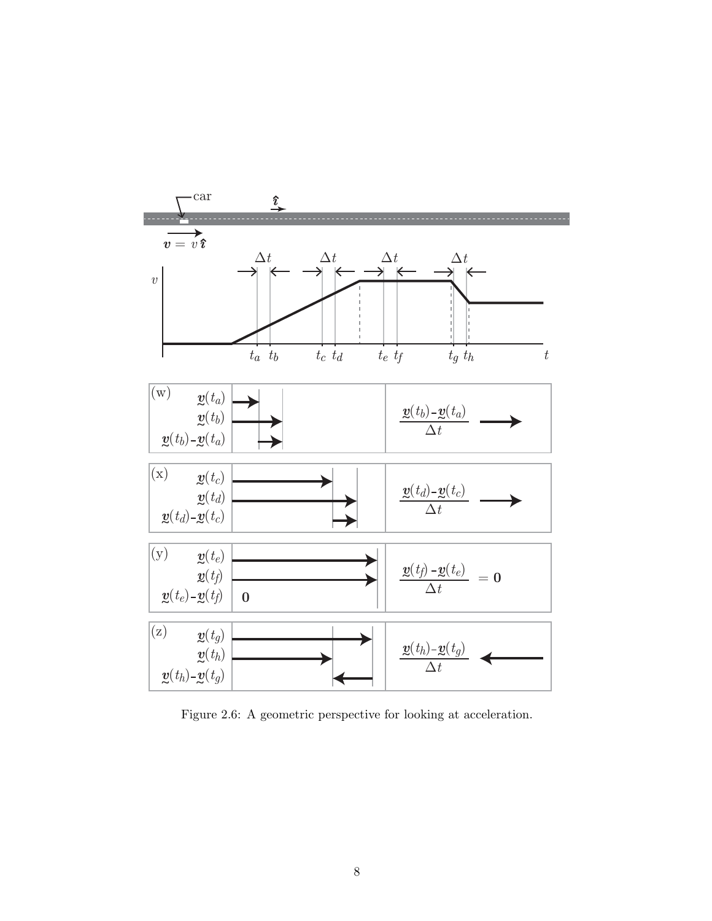

<span id="page-6-0"></span>Figure 2.6: A geometric perspective for looking at acceleration.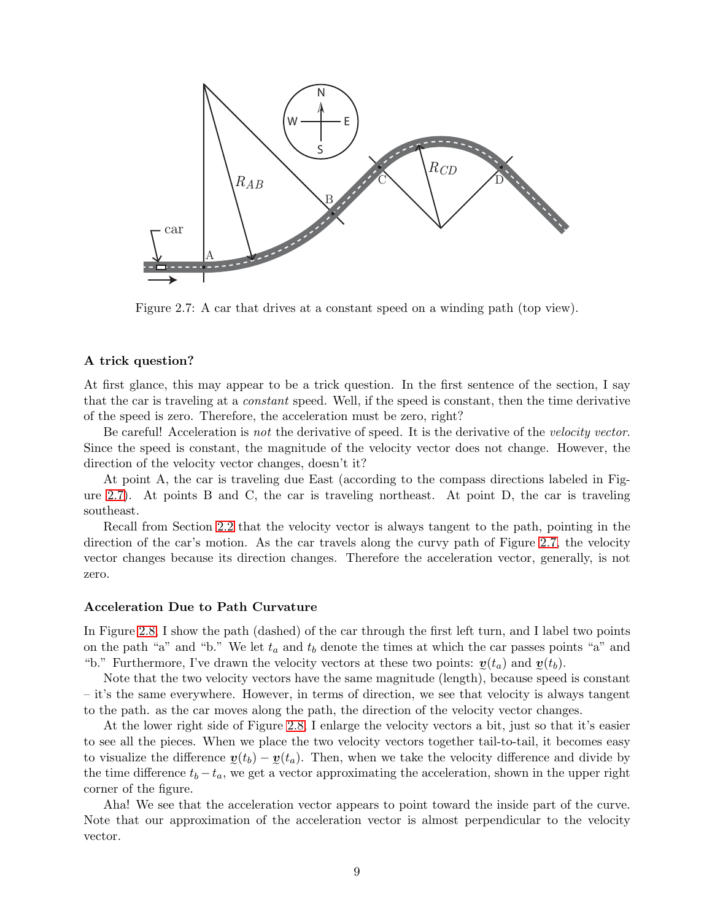

<span id="page-7-0"></span>Figure 2.7: A car that drives at a constant speed on a winding path (top view).

#### **A trick question?**

At first glance, this may appear to be a trick question. In the first sentence of the section, I say that the car is traveling at a *constant* speed. Well, if the speed is constant, then the time derivative of the speed is zero. Therefore, the acceleration must be zero, right?

Be careful! Acceleration is *not* the derivative of speed. It is the derivative of the *velocity vector*. Since the speed is constant, the magnitude of the velocity vector does not change. However, the direction of the velocity vector changes, doesn't it?

At point A, the car is traveling due East (according to the compass directions labeled in Figure [2.7\)](#page-7-0). At points B and C, the car is traveling northeast. At point D, the car is traveling southeast.

Recall from Section [2.2](#page-2-3) that the velocity vector is always tangent to the path, pointing in the direction of the car's motion. As the car travels along the curvy path of Figure [2.7,](#page-7-0) the velocity vector changes because its direction changes. Therefore the acceleration vector, generally, is not zero.

#### **Acceleration Due to Path Curvature**

In Figure [2.8,](#page-8-0) I show the path (dashed) of the car through the first left turn, and I label two points on the path "a" and "b." We let  $t_a$  and  $t_b$  denote the times at which the car passes points "a" and "b." Furthermore, I've drawn the velocity vectors at these two points:  $\mathbf{v}(t_a)$  and  $\mathbf{v}(t_b)$ .

- - Note that the two velocity vectors have the same magnitude (length), because speed is constant – it's the same everywhere. However, in terms of direction, we see that velocity is always tangent to the path. as the car moves along the path, the direction of the velocity vector changes.

At the lower right side of Figure [2.8,](#page-8-0) I enlarge the velocity vectors a bit, just so that it's easier to see all the pieces. When we place the two velocity vectors together tail-to-tail, it becomes easy to visualize the difference  $\mathbf{v}(t_b) - \mathbf{v}(t_a)$ . Then, when we take the velocity difference and divide by the time difference  $t_b - t_a$ , we get a vector approximating the acceleration, shown in the upper right corner of the figure.

Aha! We see that the acceleration vector appears to point toward the inside part of the curve. Note that our approximation of the acceleration vector is almost perpendicular to the velocity vector.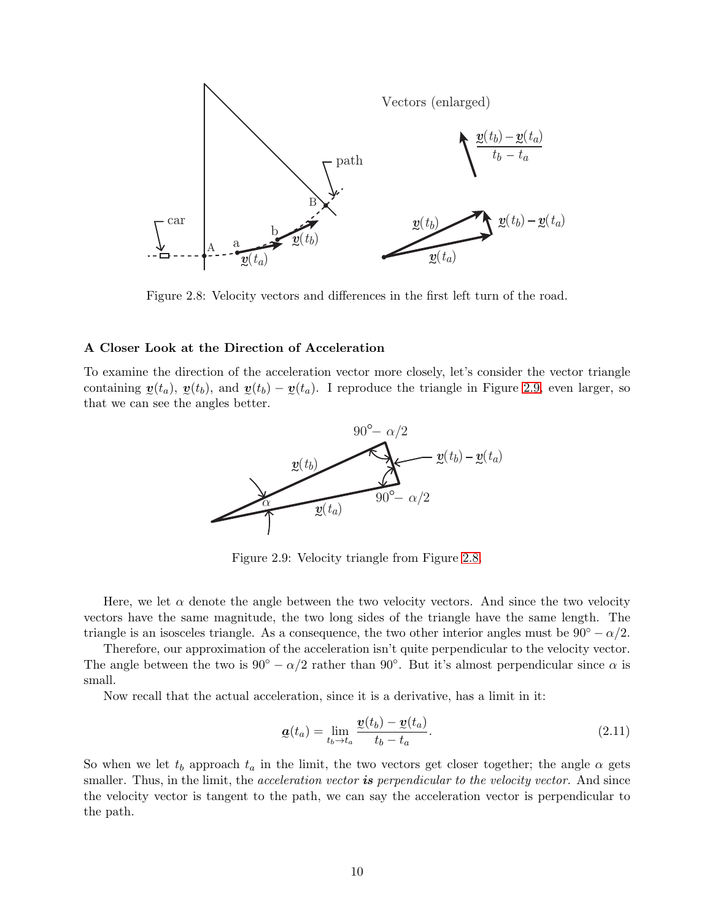

<span id="page-8-0"></span>Figure 2.8: Velocity vectors and differences in the first left turn of the road.

#### **A Closer Look at the Direction of Acceleration**

To examine the direction of the acceleration vector more closely, let's consider the vector triangle containing  $\mathbf{v}(t_a)$ ,  $\mathbf{v}(t_b)$ , and  $\mathbf{v}(t_b) - \mathbf{v}(t_a)$ . I reproduce the triangle in Figure [2.9,](#page-8-1) even larger, so that we can see the angles better.



<span id="page-8-1"></span>Figure 2.9: Velocity triangle from Figure [2.8.](#page-8-0)

Here, we let  $\alpha$  denote the angle between the two velocity vectors. And since the two velocity vectors have the same magnitude, the two long sides of the triangle have the same length. The triangle is an isosceles triangle. As a consequence, the two other interior angles must be  $90° - \alpha/2$ .

Therefore, our approximation of the acceleration isn't quite perpendicular to the velocity vector. The angle between the two is  $90° - \alpha/2$  rather than  $90°$ . But it's almost perpendicular since  $\alpha$  is small.

Now recall that the actual acceleration, since it is a derivative, has a limit in it:

$$
\mathbf{a}(t_a) = \lim_{t_b \to t_a} \frac{\mathbf{v}(t_b) - \mathbf{v}(t_a)}{t_b - t_a}.
$$
\n(2.11)

So when we let  $t_b$  approach  $t_a$  in the limit, the two vectors get closer together; the angle  $\alpha$  gets smaller. Thus, in the limit, the *acceleration vector is perpendicular to the velocity vector.* And since the velocity vector is tangent to the path, we can say the acceleration vector is perpendicular to the path.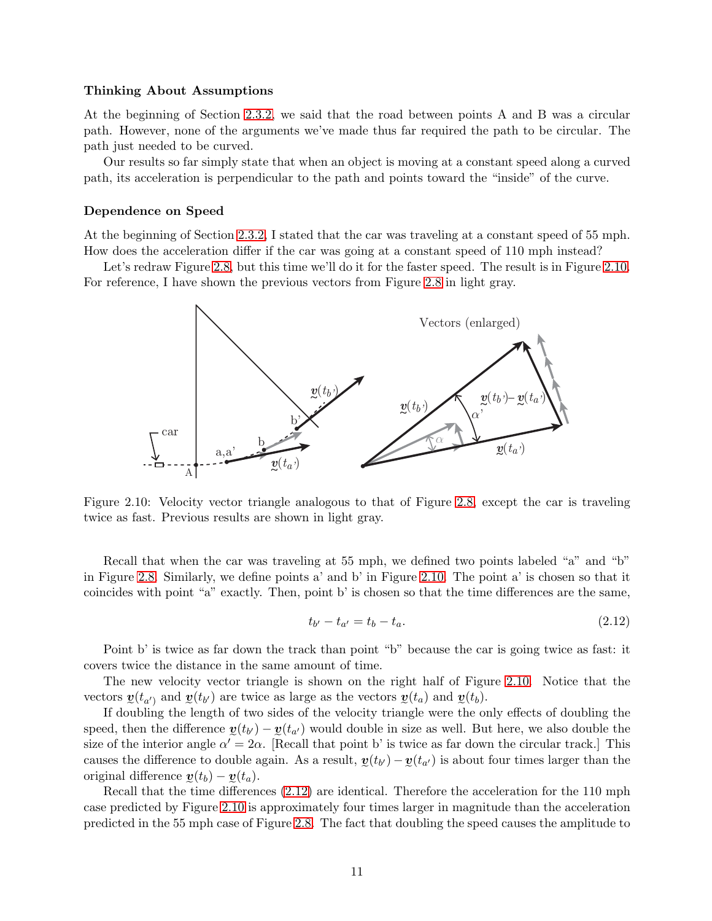#### **Thinking About Assumptions**

At the beginning of Section [2.3.2,](#page-5-2) we said that the road between points A and B was a circular path. However, none of the arguments we've made thus far required the path to be circular. The path just needed to be curved.

Our results so far simply state that when an object is moving at a constant speed along a curved path, its acceleration is perpendicular to the path and points toward the "inside" of the curve.

#### **Dependence on Speed**

At the beginning of Section [2.3.2,](#page-5-2) I stated that the car was traveling at a constant speed of 55 mph. How does the acceleration differ if the car was going at a constant speed of 110 mph instead?

Let's redraw Figure [2.8,](#page-8-0) but this time we'll do it for the faster speed. The result is in Figure [2.10.](#page-9-0) For reference, I have shown the previous vectors from Figure [2.8](#page-8-0) in light gray.



<span id="page-9-0"></span>Figure 2.10: Velocity vector triangle analogous to that of Figure [2.8,](#page-8-0) except the car is traveling twice as fast. Previous results are shown in light gray.

Recall that when the car was traveling at 55 mph, we defined two points labeled "a" and "b" in Figure [2.8.](#page-8-0) Similarly, we define points a' and b' in Figure [2.10.](#page-9-0) The point a' is chosen so that it coincides with point "a" exactly. Then, point b' is chosen so that the time differences are the same,

<span id="page-9-1"></span>
$$
t_{b'} - t_{a'} = t_b - t_a.
$$
\n(2.12)

Point b' is twice as far down the track than point "b" because the car is going twice as fast: it covers twice the distance in the same amount of time.

The new velocity vector triangle is shown on the right half of Figure [2.10.](#page-9-0) Notice that the vectors  $\mathbf{v}(t_{a'})$  and  $\mathbf{v}(t_{b'})$  are twice as large as the vectors  $\mathbf{v}(t_a)$  and  $\mathbf{v}(t_b)$ .

If doubling the length of two sides of the velocity triangle were the only effects of doubling the speed, then the difference  $\mathbf{v}(t_{b}) - \mathbf{v}(t_{a})$  would double in size as well. But here, we also double the size of the interior angle  $\alpha' = 2\alpha$ . [Recall that point b' is twice as far down the circular track.] This causes the difference to double again. As a result,  $y(t_{b}) - y(t_{a'})$  is about four times larger than the original difference  $y(t_b) - y(t_a)$ .

Recall that the time differences [\(2.12\)](#page-9-1) are identical. Therefore the acceleration for the 110 mph case predicted by Figure [2.10](#page-9-0) is approximately four times larger in magnitude than the acceleration predicted in the 55 mph case of Figure [2.8.](#page-8-0) The fact that doubling the speed causes the amplitude to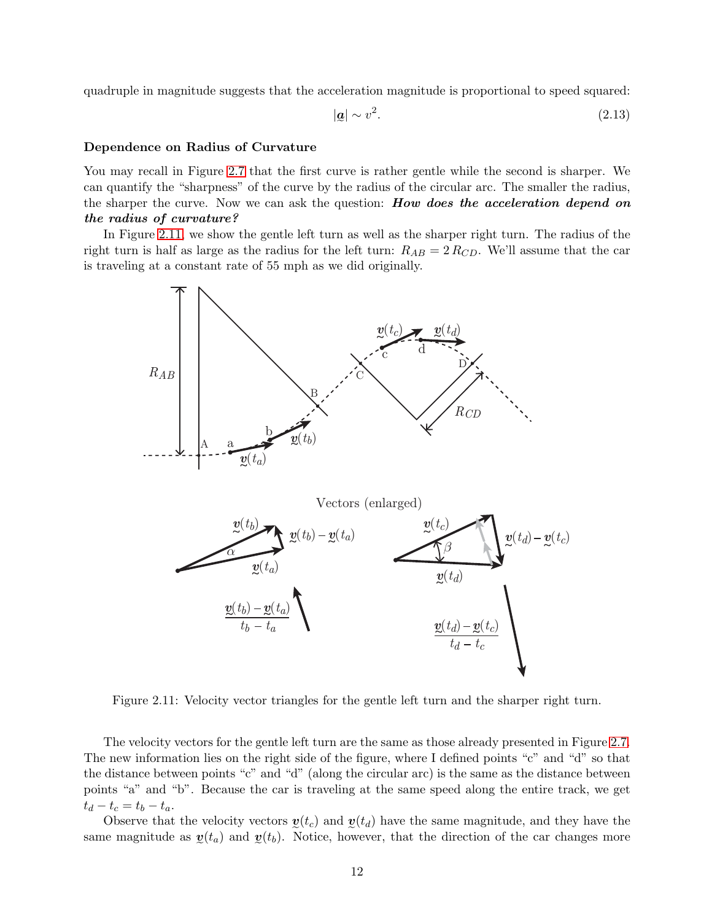quadruple in magnitude suggests that the acceleration magnitude is proportional to speed squared:

<span id="page-10-1"></span>
$$
|\mathbf{Q}| \sim v^2. \tag{2.13}
$$

#### **Dependence on Radius of Curvature**

You may recall in Figure [2.7](#page-7-0) that the first curve is rather gentle while the second is sharper. We can quantify the "sharpness" of the curve by the radius of the circular arc. The smaller the radius, the sharper the curve. Now we can ask the question: *How does the acceleration depend on the radius of curvature?*

In Figure [2.11,](#page-10-0) we show the gentle left turn as well as the sharper right turn. The radius of the right turn is half as large as the radius for the left turn:  $R_{AB} = 2 R_{CD}$ . We'll assume that the car is traveling at a constant rate of 55 mph as we did originally.



<span id="page-10-0"></span>Figure 2.11: Velocity vector triangles for the gentle left turn and the sharper right turn.

The velocity vectors for the gentle left turn are the same as those already presented in Figure [2.7.](#page-7-0) The new information lies on the right side of the figure, where I defined points "c" and "d" so that the distance between points "c" and "d" (along the circular arc) is the same as the distance between points "a" and "b". Because the car is traveling at the same speed along the entire track, we get  $t_d - t_c = t_b - t_a.$ 

Observe that the velocity vectors  $y(t_c)$  and  $y(t_d)$  have the same magnitude, and they have the same magnitude as  $y(t_a)$  and  $y(t_b)$ . Notice, however, that the direction of the car changes more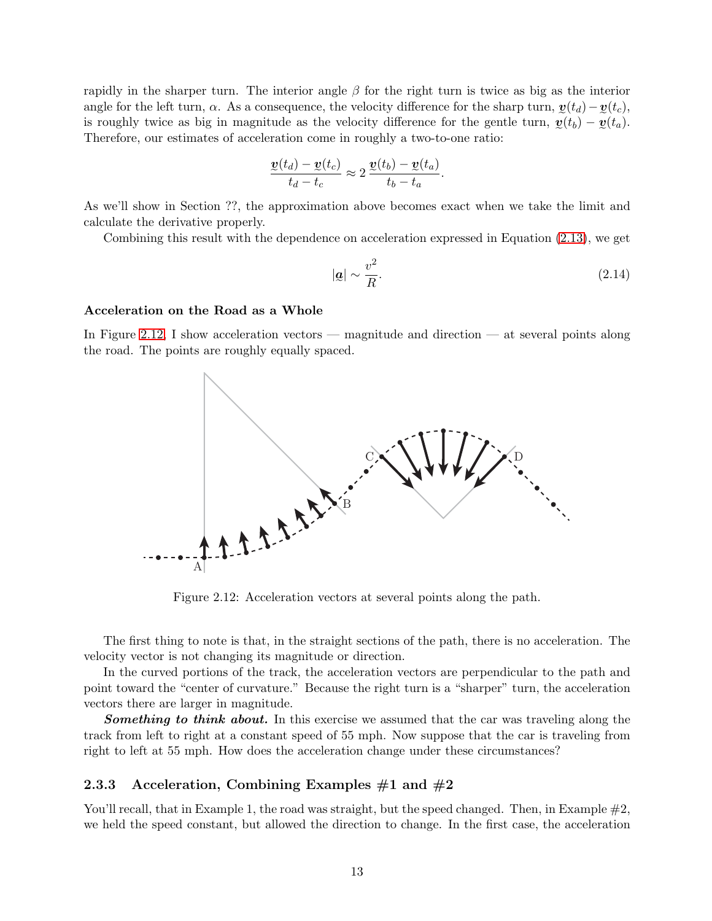rapidly in the sharper turn. The interior angle  $\beta$  for the right turn is twice as big as the interior angle for the left turn,  $\alpha$ . As a consequence, the velocity difference for the sharp turn,  $\mathbf{v}(t_d) - \mathbf{v}(t_c)$ , is roughly twice as big in magnitude as the velocity difference for the gentle turn,  $y(t_b) - y(t_a)$ . Therefore, our estimates of acceleration come in roughly a two-to-one ratio:

$$
\frac{\underline{v}(t_d) - \underline{v}(t_c)}{t_d - t_c} \approx 2 \frac{\underline{v}(t_b) - \underline{v}(t_a)}{t_b - t_a}.
$$

As we'll show in Section ??, the approximation above becomes exact when we take the limit and calculate the derivative properly.

Combining this result with the dependence on acceleration expressed in Equation [\(2.13\)](#page-10-1), we get

$$
|\mathbf{g}| \sim \frac{v^2}{R}.\tag{2.14}
$$

#### **Acceleration on the Road as a Whole**

In Figure [2.12,](#page-11-0) I show acceleration vectors — magnitude and direction — at several points along the road. The points are roughly equally spaced.



<span id="page-11-0"></span>Figure 2.12: Acceleration vectors at several points along the path.

The first thing to note is that, in the straight sections of the path, there is no acceleration. The velocity vector is not changing its magnitude or direction.

In the curved portions of the track, the acceleration vectors are perpendicular to the path and point toward the "center of curvature." Because the right turn is a "sharper" turn, the acceleration vectors there are larger in magnitude.

**Something to think about.** In this exercise we assumed that the car was traveling along the track from left to right at a constant speed of 55 mph. Now suppose that the car is traveling from right to left at 55 mph. How does the acceleration change under these circumstances?

#### **2.3.3 Acceleration, Combining Examples #1 and #2**

You'll recall, that in Example 1, the road was straight, but the speed changed. Then, in Example  $\#2$ , we held the speed constant, but allowed the direction to change. In the first case, the acceleration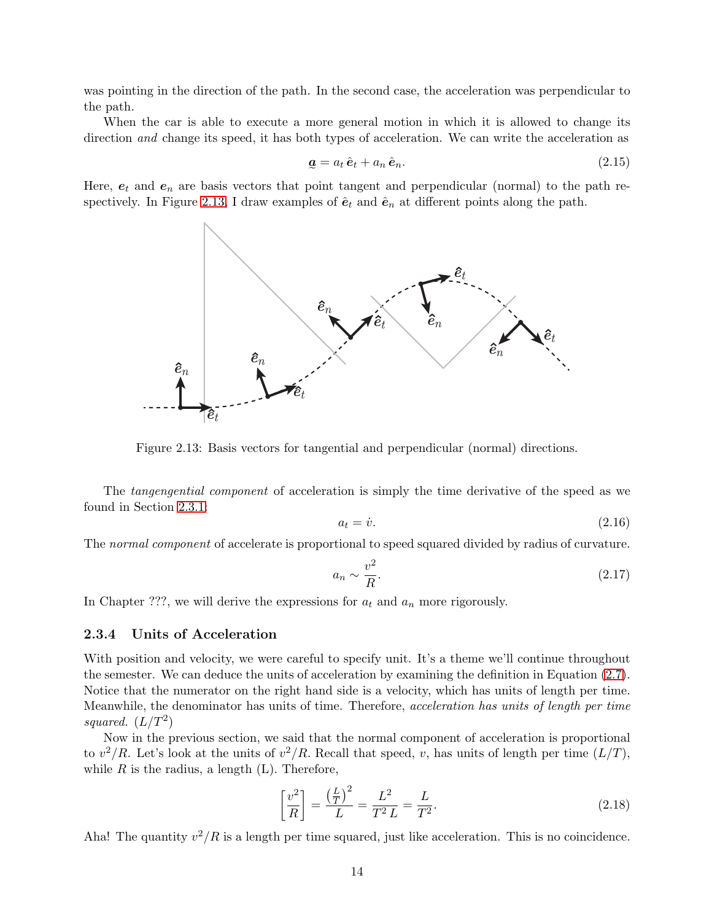was pointing in the direction of the path. In the second case, the acceleration was perpendicular to the path.

When the car is able to execute a more general motion in which it is allowed to change its direction *and* change its speed, it has both types of acceleration. We can write the acceleration as

$$
\mathbf{a} = a_t \,\hat{\mathbf{e}}_t + a_n \,\hat{\mathbf{e}}_n. \tag{2.15}
$$

Here,  $e_t$  and  $e_n$  are basis vectors that point tangent and perpendicular (normal) to the path re-spectively. In Figure [2.13,](#page-12-0) I draw examples of  $\hat{\mathbf{e}}_t$  and  $\hat{\mathbf{e}}_n$  at different points along the path.



<span id="page-12-0"></span>Figure 2.13: Basis vectors for tangential and perpendicular (normal) directions.

The *tangengential component* of acceleration is simply the time derivative of the speed as we found in Section [2.3.1:](#page-3-2)

$$
a_t = \dot{v}.\tag{2.16}
$$

The *normal component* of accelerate is proportional to speed squared divided by radius of curvature.

$$
a_n \sim \frac{v^2}{R}.\tag{2.17}
$$

In Chapter ???, we will derive the expressions for  $a_t$  and  $a_n$  more rigorously.

#### **2.3.4 Units of Acceleration**

With position and velocity, we were careful to specify unit. It's a theme we'll continue throughout the semester. We can deduce the units of acceleration by examining the definition in Equation [\(2.7\)](#page-3-1). Notice that the numerator on the right hand side is a velocity, which has units of length per time. Meanwhile, the denominator has units of time. Therefore, *acceleration has units of length per time squared.*  $(L/T^2)$ 

Now in the previous section, we said that the normal component of acceleration is proportional to  $v^2/R$ . Let's look at the units of  $v^2/R$ . Recall that speed, v, has units of length per time  $(L/T)$ , while  $R$  is the radius, a length  $(L)$ . Therefore,

$$
\left[\frac{v^2}{R}\right] = \frac{\left(\frac{L}{T}\right)^2}{L} = \frac{L^2}{T^2 L} = \frac{L}{T^2}.
$$
\n(2.18)

Aha! The quantity  $v^2/R$  is a length per time squared, just like acceleration. This is no coincidence.